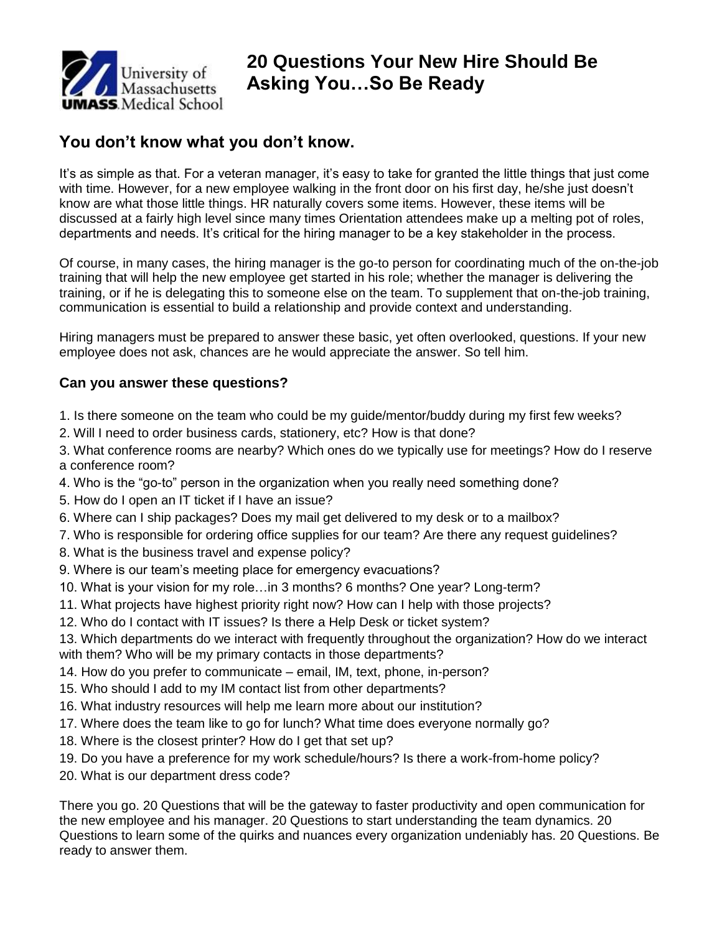

## **20 Questions Your New Hire Should Be Asking You…So Be Ready**

## **You don't know what you don't know.**

It's as simple as that. For a veteran manager, it's easy to take for granted the little things that just come with time. However, for a new employee walking in the front door on his first day, he/she just doesn't know are what those little things. HR naturally covers some items. However, these items will be discussed at a fairly high level since many times Orientation attendees make up a melting pot of roles, departments and needs. It's critical for the hiring manager to be a key stakeholder in the process.

Of course, in many cases, the hiring manager is the go-to person for coordinating much of the on-the-job training that will help the new employee get started in his role; whether the manager is delivering the training, or if he is delegating this to someone else on the team. To supplement that on-the-job training, communication is essential to build a relationship and provide context and understanding.

Hiring managers must be prepared to answer these basic, yet often overlooked, questions. If your new employee does not ask, chances are he would appreciate the answer. So tell him.

## **Can you answer these questions?**

- 1. Is there someone on the team who could be my guide/mentor/buddy during my first few weeks?
- 2. Will I need to order business cards, stationery, etc? How is that done?
- 3. What conference rooms are nearby? Which ones do we typically use for meetings? How do I reserve a conference room?
- 4. Who is the "go-to" person in the organization when you really need something done?
- 5. How do I open an IT ticket if I have an issue?
- 6. Where can I ship packages? Does my mail get delivered to my desk or to a mailbox?
- 7. Who is responsible for ordering office supplies for our team? Are there any request guidelines?
- 8. What is the business travel and expense policy?
- 9. Where is our team's meeting place for emergency evacuations?
- 10. What is your vision for my role…in 3 months? 6 months? One year? Long-term?
- 11. What projects have highest priority right now? How can I help with those projects?
- 12. Who do I contact with IT issues? Is there a Help Desk or ticket system?
- 13. Which departments do we interact with frequently throughout the organization? How do we interact with them? Who will be my primary contacts in those departments?
- 14. How do you prefer to communicate email, IM, text, phone, in-person?
- 15. Who should I add to my IM contact list from other departments?
- 16. What industry resources will help me learn more about our institution?
- 17. Where does the team like to go for lunch? What time does everyone normally go?
- 18. Where is the closest printer? How do I get that set up?
- 19. Do you have a preference for my work schedule/hours? Is there a work-from-home policy?
- 20. What is our department dress code?

There you go. 20 Questions that will be the gateway to faster productivity and open communication for the new employee and his manager. 20 Questions to start understanding the team dynamics. 20 Questions to learn some of the quirks and nuances every organization undeniably has. 20 Questions. Be ready to answer them.